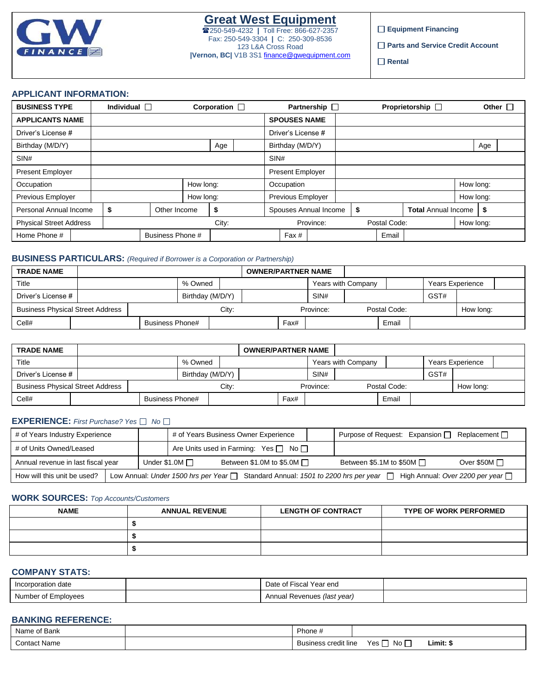

**Equipment Financing**

**Parts and Service Credit Account** 

**Rental**

### **APPLICANT INFORMATION:**

| <b>BUSINESS TYPE</b>           | Individual $\Box$ |                  |           | Corporation $\square$ |                         | Partnership $\square$ |              | Proprietorship $\Box$      |           |     | Other $\Box$ |
|--------------------------------|-------------------|------------------|-----------|-----------------------|-------------------------|-----------------------|--------------|----------------------------|-----------|-----|--------------|
| <b>APPLICANTS NAME</b>         |                   |                  |           |                       | <b>SPOUSES NAME</b>     |                       |              |                            |           |     |              |
| Driver's License #             |                   |                  |           |                       | Driver's License #      |                       |              |                            |           |     |              |
| Birthday (M/D/Y)               |                   |                  |           | Age                   | Birthday (M/D/Y)        |                       |              |                            |           | Age |              |
| SIN#                           |                   |                  |           |                       | SIN#                    |                       |              |                            |           |     |              |
| <b>Present Employer</b>        |                   |                  |           |                       | <b>Present Employer</b> |                       |              |                            |           |     |              |
| Occupation                     |                   |                  | How long: |                       | Occupation              |                       |              |                            | How long: |     |              |
| Previous Employer              |                   |                  | How long: |                       | Previous Employer       |                       |              |                            | How long: |     |              |
| Personal Annual Income         | \$                | Other Income     |           | \$                    | Spouses Annual Income   |                       | \$           | <b>Total Annual Income</b> |           | \$  |              |
| <b>Physical Street Address</b> |                   |                  |           | City:                 | Province:               |                       | Postal Code: |                            | How long: |     |              |
| Home Phone #                   |                   | Business Phone # |           |                       | Fax #                   |                       | Email        |                            |           |     |              |

### **BUSINESS PARTICULARS:** *(Required if Borrower is a Corporation or Partnership)*

| <b>TRADE NAME</b>                       |  |                 |                  |       | <b>OWNER/PARTNER NAME</b> |      |           |                    |              |                  |           |  |
|-----------------------------------------|--|-----------------|------------------|-------|---------------------------|------|-----------|--------------------|--------------|------------------|-----------|--|
| Title                                   |  |                 | % Owned          |       |                           |      |           | Years with Company |              | Years Experience |           |  |
| Driver's License #                      |  |                 | Birthday (M/D/Y) |       |                           |      | SIN#      |                    |              | GST#             |           |  |
| <b>Business Physical Street Address</b> |  |                 |                  | City: |                           |      | Province: |                    | Postal Code: |                  | How long: |  |
| Cell#                                   |  | Business Phone# |                  |       |                           | Fax# |           |                    | Email        |                  |           |  |

| <b>TRADE NAME</b>                       |  |                 |         |                  |  | <b>OWNER/PARTNER NAME</b> |           |                    |              |      |                  |  |
|-----------------------------------------|--|-----------------|---------|------------------|--|---------------------------|-----------|--------------------|--------------|------|------------------|--|
| Title                                   |  |                 | % Owned |                  |  |                           |           | Years with Company |              |      | Years Experience |  |
| Driver's License #                      |  |                 |         | Birthday (M/D/Y) |  |                           | SIN#      |                    |              | GST# |                  |  |
| <b>Business Physical Street Address</b> |  |                 |         | City:            |  |                           | Province: |                    | Postal Code: |      | How long:        |  |
| Cell#                                   |  | Business Phone# |         |                  |  | Fax#                      |           |                    | Email        |      |                  |  |

## **EXPERIENCE:** *First Purchase? Yes No*

| # of Years Business Owner Experience<br># of Years Industry Experience |  |                                                 |                                                                                         | Purpose of Request: Expansion $\Box$ | Replacement $\Box$             |                                        |
|------------------------------------------------------------------------|--|-------------------------------------------------|-----------------------------------------------------------------------------------------|--------------------------------------|--------------------------------|----------------------------------------|
| # of Units Owned/Leased                                                |  | Are Units used in Farming: Yes $\Box$ No $\Box$ |                                                                                         |                                      |                                |                                        |
| Annual revenue in last fiscal year                                     |  | Under \$1.0M $\square$                          | Between \$1.0M to \$5.0M $\Box$                                                         |                                      | Between \$5.1M to \$50M $\Box$ | Over \$50M $\Box$                      |
| How will this unit be used?                                            |  |                                                 | Low Annual: Under 1500 hrs per Year $\Box$ Standard Annual: 1501 to 2200 hrs per year [ |                                      |                                | High Annual: Over 2200 per year $\Box$ |

#### **WORK SOURCES:** *Top Accounts/Customers*

| <b>NAME</b> | <b>ANNUAL REVENUE</b> | <b>LENGTH OF CONTRACT</b> |  |
|-------------|-----------------------|---------------------------|--|
|             |                       |                           |  |
|             |                       |                           |  |
|             |                       |                           |  |

# **COMPANY STATS:**

| Incorporation date  | ' Fiscal Year eng<br>Date of I |  |
|---------------------|--------------------------------|--|
| Number of Employees | Annual Revenues (last year)    |  |

## **BANKING REFERENCE:**

| Name of Bank | $P$ hone $\sim$          |                  |                                                  |
|--------------|--------------------------|------------------|--------------------------------------------------|
| Contact Name | <br>Business credit line | _<br>Yes<br>No i | Limit: \$<br>the contract of the contract of the |